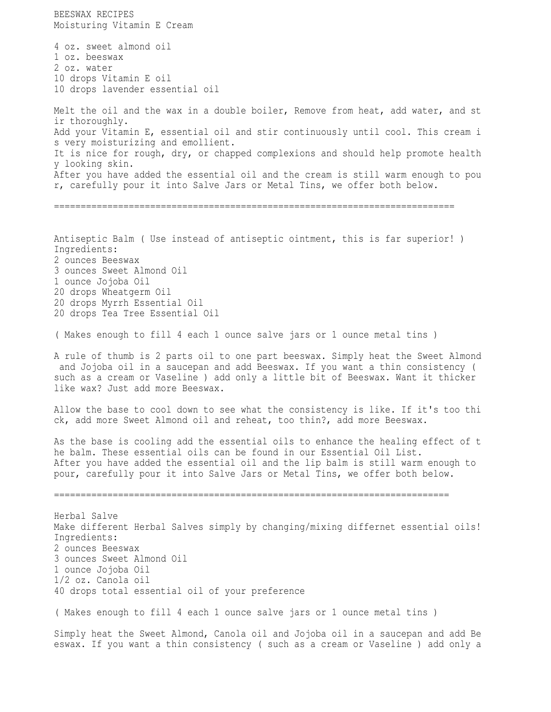BEESWAX RECIPES Moisturing Vitamin E Cream 4 oz. sweet almond oil 1 oz. beeswax 2 oz. water 10 drops Vitamin E oil 10 drops lavender essential oil Melt the oil and the wax in a double boiler, Remove from heat, add water, and st ir thoroughly. Add your Vitamin E, essential oil and stir continuously until cool. This cream i s very moisturizing and emollient. It is nice for rough, dry, or chapped complexions and should help promote health y looking skin. After you have added the essential oil and the cream is still warm enough to pou r, carefully pour it into Salve Jars or Metal Tins, we offer both below. =========================================================================== Antiseptic Balm ( Use instead of antiseptic ointment, this is far superior! ) Ingredients: 2 ounces Beeswax 3 ounces Sweet Almond Oil 1 ounce Jojoba Oil 20 drops Wheatgerm Oil 20 drops Myrrh Essential Oil 20 drops Tea Tree Essential Oil ( Makes enough to fill 4 each 1 ounce salve jars or 1 ounce metal tins ) A rule of thumb is 2 parts oil to one part beeswax. Simply heat the Sweet Almond and Jojoba oil in a saucepan and add Beeswax. If you want a thin consistency ( such as a cream or Vaseline ) add only a little bit of Beeswax. Want it thicker like wax? Just add more Beeswax. Allow the base to cool down to see what the consistency is like. If it's too thi ck, add more Sweet Almond oil and reheat, too thin?, add more Beeswax. As the base is cooling add the essential oils to enhance the healing effect of t he balm. These essential oils can be found in our Essential Oil List. After you have added the essential oil and the lip balm is still warm enough to pour, carefully pour it into Salve Jars or Metal Tins, we offer both below. ========================================================================== Herbal Salve Make different Herbal Salves simply by changing/mixing differnet essential oils! Ingredients: 2 ounces Beeswax 3 ounces Sweet Almond Oil 1 ounce Jojoba Oil 1/2 oz. Canola oil 40 drops total essential oil of your preference ( Makes enough to fill 4 each 1 ounce salve jars or 1 ounce metal tins ) Simply heat the Sweet Almond, Canola oil and Jojoba oil in a saucepan and add Be eswax. If you want a thin consistency ( such as a cream or Vaseline ) add only a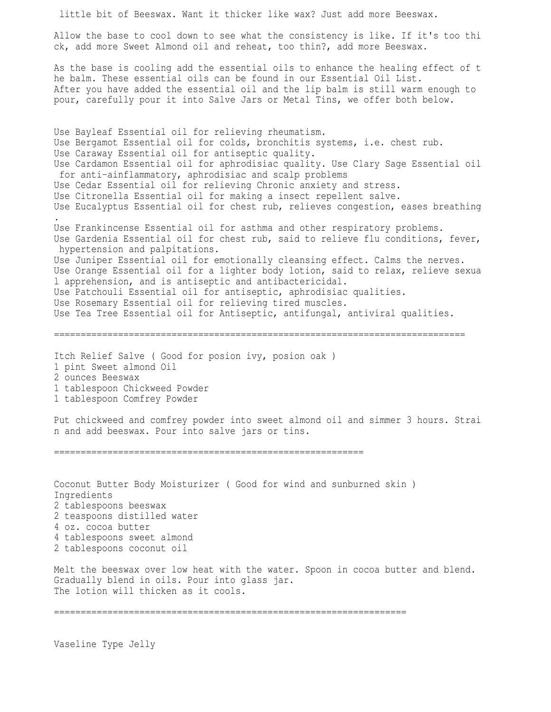little bit of Beeswax. Want it thicker like wax? Just add more Beeswax. Allow the base to cool down to see what the consistency is like. If it's too thi ck, add more Sweet Almond oil and reheat, too thin?, add more Beeswax. As the base is cooling add the essential oils to enhance the healing effect of t he balm. These essential oils can be found in our Essential Oil List. After you have added the essential oil and the lip balm is still warm enough to pour, carefully pour it into Salve Jars or Metal Tins, we offer both below. Use Bayleaf Essential oil for relieving rheumatism. Use Bergamot Essential oil for colds, bronchitis systems, i.e. chest rub. Use Caraway Essential oil for antiseptic quality. Use Cardamon Essential oil for aphrodisiac quality. Use Clary Sage Essential oil for anti-ainflammatory, aphrodisiac and scalp problems Use Cedar Essential oil for relieving Chronic anxiety and stress. Use Citronella Essential oil for making a insect repellent salve. Use Eucalyptus Essential oil for chest rub, relieves congestion, eases breathing . Use Frankincense Essential oil for asthma and other respiratory problems. Use Gardenia Essential oil for chest rub, said to relieve flu conditions, fever, hypertension and palpitations. Use Juniper Essential oil for emotionally cleansing effect. Calms the nerves. Use Orange Essential oil for a lighter body lotion, said to relax, relieve sexua l apprehension, and is antiseptic and antibactericidal. Use Patchouli Essential oil for antiseptic, aphrodisiac qualities. Use Rosemary Essential oil for relieving tired muscles. Use Tea Tree Essential oil for Antiseptic, antifungal, antiviral qualities. ============================================================================= Itch Relief Salve ( Good for posion ivy, posion oak ) 1 pint Sweet almond Oil 2 ounces Beeswax 1 tablespoon Chickweed Powder 1 tablespoon Comfrey Powder Put chickweed and comfrey powder into sweet almond oil and simmer 3 hours. Strai n and add beeswax. Pour into salve jars or tins. ========================================================== Coconut Butter Body Moisturizer ( Good for wind and sunburned skin ) Ingredients 2 tablespoons beeswax 2 teaspoons distilled water 4 oz. cocoa butter 4 tablespoons sweet almond 2 tablespoons coconut oil Melt the beeswax over low heat with the water. Spoon in cocoa butter and blend. Gradually blend in oils. Pour into glass jar. The lotion will thicken as it cools. ==================================================================

Vaseline Type Jelly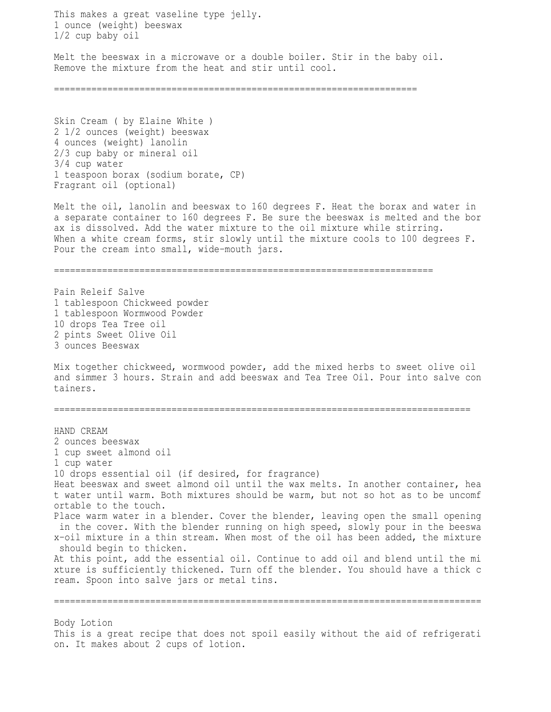This makes a great vaseline type jelly. 1 ounce (weight) beeswax 1/2 cup baby oil Melt the beeswax in a microwave or a double boiler. Stir in the baby oil. Remove the mixture from the heat and stir until cool. ==================================================================== Skin Cream ( by Elaine White ) 2 1/2 ounces (weight) beeswax 4 ounces (weight) lanolin 2/3 cup baby or mineral oil 3/4 cup water 1 teaspoon borax (sodium borate, CP) Fragrant oil (optional) Melt the oil, lanolin and beeswax to 160 degrees F. Heat the borax and water in a separate container to 160 degrees F. Be sure the beeswax is melted and the bor ax is dissolved. Add the water mixture to the oil mixture while stirring. When a white cream forms, stir slowly until the mixture cools to 100 degrees F. Pour the cream into small, wide-mouth jars. ======================================================================= Pain Releif Salve 1 tablespoon Chickweed powder 1 tablespoon Wormwood Powder 10 drops Tea Tree oil 2 pints Sweet Olive Oil 3 ounces Beeswax Mix together chickweed, wormwood powder, add the mixed herbs to sweet olive oil and simmer 3 hours. Strain and add beeswax and Tea Tree Oil. Pour into salve con tainers. ============================================================================== HAND CREAM 2 ounces beeswax 1 cup sweet almond oil 1 cup water 10 drops essential oil (if desired, for fragrance) Heat beeswax and sweet almond oil until the wax melts. In another container, hea t water until warm. Both mixtures should be warm, but not so hot as to be uncomf ortable to the touch. Place warm water in a blender. Cover the blender, leaving open the small opening in the cover. With the blender running on high speed, slowly pour in the beeswa x-oil mixture in a thin stream. When most of the oil has been added, the mixture should begin to thicken. At this point, add the essential oil. Continue to add oil and blend until the mi xture is sufficiently thickened. Turn off the blender. You should have a thick c ream. Spoon into salve jars or metal tins. ================================================================================ Body Lotion

This is a great recipe that does not spoil easily without the aid of refrigerati on. It makes about 2 cups of lotion.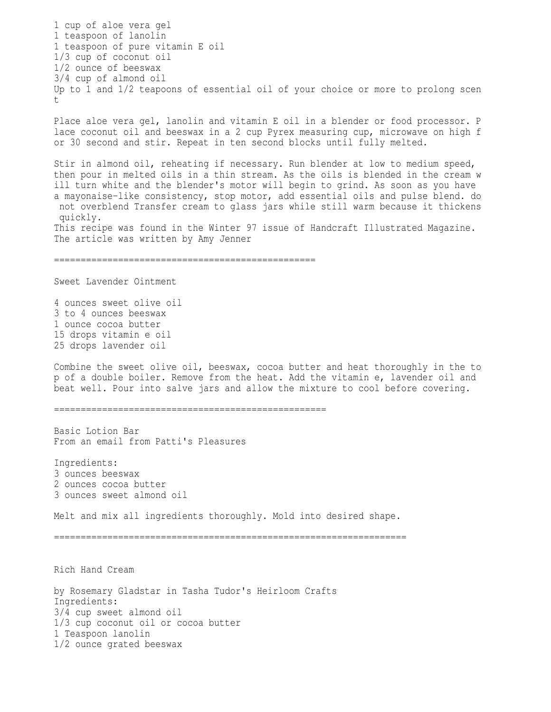1 cup of aloe vera gel 1 teaspoon of lanolin 1 teaspoon of pure vitamin E oil 1/3 cup of coconut oil 1/2 ounce of beeswax 3/4 cup of almond oil Up to 1 and 1/2 teapoons of essential oil of your choice or more to prolong scen t

Place aloe vera gel, lanolin and vitamin E oil in a blender or food processor. P lace coconut oil and beeswax in a 2 cup Pyrex measuring cup, microwave on high f or 30 second and stir. Repeat in ten second blocks until fully melted.

Stir in almond oil, reheating if necessary. Run blender at low to medium speed, then pour in melted oils in a thin stream. As the oils is blended in the cream w ill turn white and the blender's motor will begin to grind. As soon as you have a mayonaise-like consistency, stop motor, add essential oils and pulse blend. do not overblend Transfer cream to glass jars while still warm because it thickens quickly. This recipe was found in the Winter 97 issue of Handcraft Illustrated Magazine. The article was written by Amy Jenner

=================================================

Sweet Lavender Ointment

4 ounces sweet olive oil 3 to 4 ounces beeswax 1 ounce cocoa butter 15 drops vitamin e oil 25 drops lavender oil

Combine the sweet olive oil, beeswax, cocoa butter and heat thoroughly in the to p of a double boiler. Remove from the heat. Add the vitamin e, lavender oil and beat well. Pour into salve jars and allow the mixture to cool before covering.

===================================================

Basic Lotion Bar From an email from Patti's Pleasures

Ingredients: 3 ounces beeswax 2 ounces cocoa butter 3 ounces sweet almond oil

Melt and mix all ingredients thoroughly. Mold into desired shape.

==================================================================

Rich Hand Cream

by Rosemary Gladstar in Tasha Tudor's Heirloom Crafts Ingredients: 3/4 cup sweet almond oil 1/3 cup coconut oil or cocoa butter 1 Teaspoon lanolin 1/2 ounce grated beeswax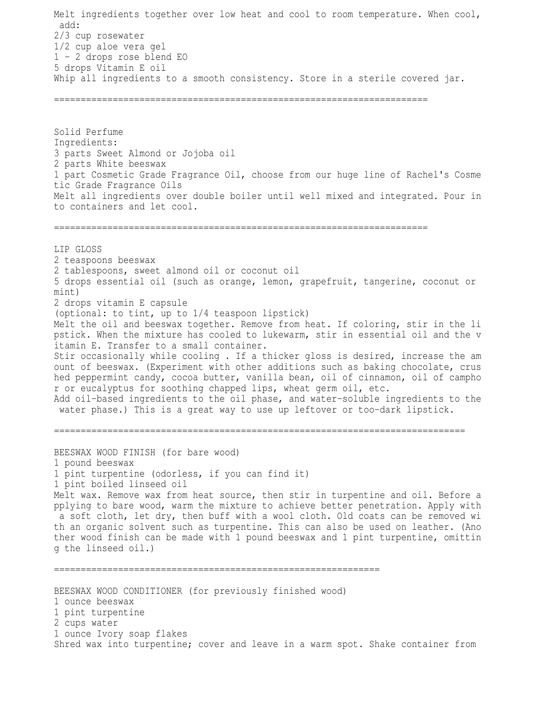Melt ingredients together over low heat and cool to room temperature. When cool, add: 2/3 cup rosewater 1/2 cup aloe vera gel 1 - 2 drops rose blend EO 5 drops Vitamin E oil Whip all ingredients to a smooth consistency. Store in a sterile covered jar.

======================================================================

Solid Perfume Ingredients: 3 parts Sweet Almond or Jojoba oil 2 parts White beeswax 1 part Cosmetic Grade Fragrance Oil, choose from our huge line of Rachel's Cosme tic Grade Fragrance Oils Melt all ingredients over double boiler until well mixed and integrated. Pour in to containers and let cool.

======================================================================

LIP GLOSS 2 teaspoons beeswax 2 tablespoons, sweet almond oil or coconut oil 5 drops essential oil (such as orange, lemon, grapefruit, tangerine, coconut or mint) 2 drops vitamin E capsule (optional: to tint, up to 1/4 teaspoon lipstick) Melt the oil and beeswax together. Remove from heat. If coloring, stir in the li pstick. When the mixture has cooled to lukewarm, stir in essential oil and the v itamin E. Transfer to a small container. Stir occasionally while cooling . If a thicker gloss is desired, increase the am ount of beeswax. (Experiment with other additions such as baking chocolate, crus hed peppermint candy, cocoa butter, vanilla bean, oil of cinnamon, oil of campho r or eucalyptus for soothing chapped lips, wheat germ oil, etc. Add oil-based ingredients to the oil phase, and water-soluble ingredients to the water phase.) This is a great way to use up leftover or too-dark lipstick.

BEESWAX WOOD FINISH (for bare wood) 1 pound beeswax 1 pint turpentine (odorless, if you can find it) 1 pint boiled linseed oil Melt wax. Remove wax from heat source, then stir in turpentine and oil. Before a pplying to bare wood, warm the mixture to achieve better penetration. Apply with a soft cloth, let dry, then buff with a wool cloth. Old coats can be removed wi th an organic solvent such as turpentine. This can also be used on leather. (Ano ther wood finish can be made with 1 pound beeswax and 1 pint turpentine, omittin g the linseed oil.)

=============================================================================

BEESWAX WOOD CONDITIONER (for previously finished wood) 1 ounce beeswax 1 pint turpentine 2 cups water 1 ounce Ivory soap flakes Shred wax into turpentine; cover and leave in a warm spot. Shake container from

=============================================================